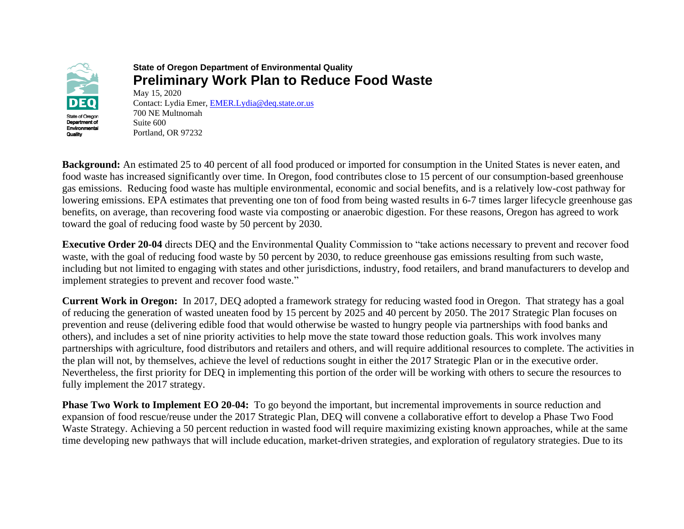

### **State of Oregon Department of Environmental Quality Preliminary Work Plan to Reduce Food Waste** May 15, 2020

Contact: Lydia Emer, [EMER.Lydia@deq.state.or.us](mailto:EMER.Lydia@deq.state.or.us) 700 NE Multnomah Suite 600 Portland, OR 97232

**Background:** An estimated 25 to 40 percent of all food produced or imported for consumption in the United States is never eaten, and food waste has increased significantly over time. In Oregon, food contributes close to 15 percent of our consumption-based greenhouse gas emissions. Reducing food waste has multiple environmental, economic and social benefits, and is a relatively low-cost pathway for lowering emissions. EPA estimates that preventing one ton of food from being wasted results in 6-7 times larger lifecycle greenhouse gas benefits, on average, than recovering food waste via composting or anaerobic digestion. For these reasons, Oregon has agreed to work toward the goal of reducing food waste by 50 percent by 2030.

**Executive Order 20-04** directs DEQ and the Environmental Quality Commission to "take actions necessary to prevent and recover food waste, with the goal of reducing food waste by 50 percent by 2030, to reduce greenhouse gas emissions resulting from such waste, including but not limited to engaging with states and other jurisdictions, industry, food retailers, and brand manufacturers to develop and implement strategies to prevent and recover food waste."

**Current Work in Oregon:** In 2017, DEQ adopted a framework strategy for reducing wasted food in Oregon. That strategy has a goal of reducing the generation of wasted uneaten food by 15 percent by 2025 and 40 percent by 2050. The 2017 Strategic Plan focuses on prevention and reuse (delivering edible food that would otherwise be wasted to hungry people via partnerships with food banks and others), and includes a set of nine priority activities to help move the state toward those reduction goals. This work involves many partnerships with agriculture, food distributors and retailers and others, and will require additional resources to complete. The activities in the plan will not, by themselves, achieve the level of reductions sought in either the 2017 Strategic Plan or in the executive order. Nevertheless, the first priority for DEQ in implementing this portion of the order will be working with others to secure the resources to fully implement the 2017 strategy.

**Phase Two Work to Implement EO 20-04:** To go beyond the important, but incremental improvements in source reduction and expansion of food rescue/reuse under the 2017 Strategic Plan, DEQ will convene a collaborative effort to develop a Phase Two Food Waste Strategy. Achieving a 50 percent reduction in wasted food will require maximizing existing known approaches, while at the same time developing new pathways that will include education, market-driven strategies, and exploration of regulatory strategies. Due to its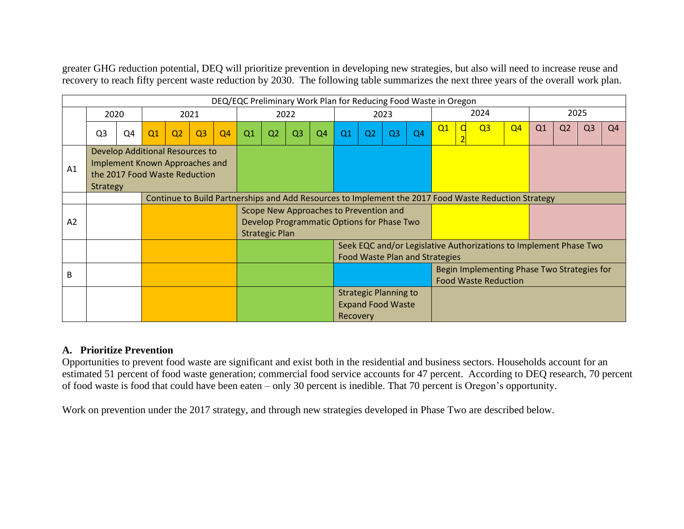greater GHG reduction potential, DEQ will prioritize prevention in developing new strategies, but also will need to increase reuse and recovery to reach fifty percent waste reduction by 2030. The following table summarizes the next three years of the overall work plan.

| DEQ/EQC Preliminary Work Plan for Reducing Food Waste in Oregon |                                                                                                                       |    |                                                                                                      |      |                |                                                                                                               |    |    |                |                |                |                                                                                                            |                |                |    |  |                |                |    |                |                |    |
|-----------------------------------------------------------------|-----------------------------------------------------------------------------------------------------------------------|----|------------------------------------------------------------------------------------------------------|------|----------------|---------------------------------------------------------------------------------------------------------------|----|----|----------------|----------------|----------------|------------------------------------------------------------------------------------------------------------|----------------|----------------|----|--|----------------|----------------|----|----------------|----------------|----|
|                                                                 | 2020                                                                                                                  |    |                                                                                                      | 2021 |                | 2022                                                                                                          |    |    |                | 2023           |                |                                                                                                            |                | 2024           |    |  |                | 2025           |    |                |                |    |
|                                                                 | Q <sub>3</sub>                                                                                                        | Q4 | Q1                                                                                                   | Q2   | Q <sub>3</sub> | Q <sub>4</sub>                                                                                                | Q1 | Q2 | Q <sub>3</sub> | Q <sub>4</sub> | Q <sub>1</sub> | Q <sub>2</sub>                                                                                             | Q <sub>3</sub> | Q <sub>4</sub> | Q1 |  | Q <sub>3</sub> | Q <sub>4</sub> | Q1 | Q <sub>2</sub> | Q <sub>3</sub> | Q4 |
| A1                                                              | Develop Additional Resources to<br>Implement Known Approaches and<br>the 2017 Food Waste Reduction<br><b>Strategy</b> |    |                                                                                                      |      |                |                                                                                                               |    |    |                |                |                |                                                                                                            |                |                |    |  |                |                |    |                |                |    |
|                                                                 |                                                                                                                       |    | Continue to Build Partnerships and Add Resources to Implement the 2017 Food Waste Reduction Strategy |      |                |                                                                                                               |    |    |                |                |                |                                                                                                            |                |                |    |  |                |                |    |                |                |    |
| A <sub>2</sub>                                                  |                                                                                                                       |    |                                                                                                      |      |                | Scope New Approaches to Prevention and<br>Develop Programmatic Options for Phase Two<br><b>Strategic Plan</b> |    |    |                |                |                |                                                                                                            |                |                |    |  |                |                |    |                |                |    |
|                                                                 |                                                                                                                       |    |                                                                                                      |      |                |                                                                                                               |    |    |                |                |                | Seek EQC and/or Legislative Authorizations to Implement Phase Two<br><b>Food Waste Plan and Strategies</b> |                |                |    |  |                |                |    |                |                |    |
| B                                                               |                                                                                                                       |    |                                                                                                      |      |                |                                                                                                               |    |    |                |                |                | Begin Implementing Phase Two Strategies for<br><b>Food Waste Reduction</b>                                 |                |                |    |  |                |                |    |                |                |    |
|                                                                 |                                                                                                                       |    |                                                                                                      |      |                |                                                                                                               |    |    |                |                | Recovery       | <b>Strategic Planning to</b><br><b>Expand Food Waste</b>                                                   |                |                |    |  |                |                |    |                |                |    |

# **A. Prioritize Prevention**

Opportunities to prevent food waste are significant and exist both in the residential and business sectors. Households account for an estimated 51 percent of food waste generation; commercial food service accounts for 47 percent. According to DEQ research, 70 percent of food waste is food that could have been eaten – only 30 percent is inedible. That 70 percent is Oregon's opportunity.

Work on prevention under the 2017 strategy, and through new strategies developed in Phase Two are described below.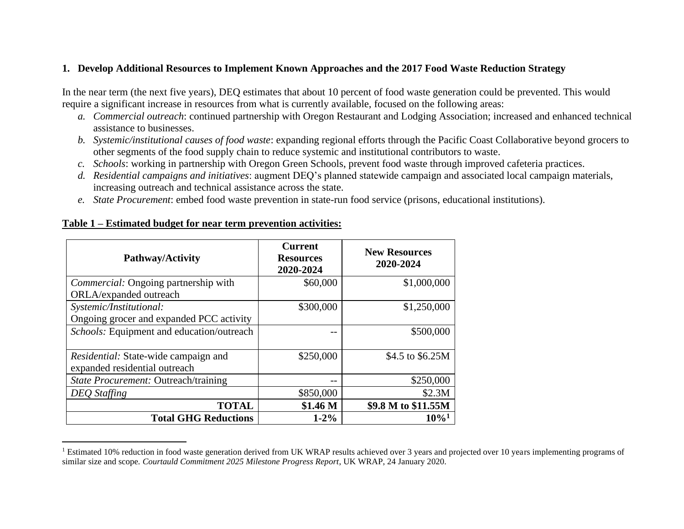### **1. Develop Additional Resources to Implement Known Approaches and the 2017 Food Waste Reduction Strategy**

In the near term (the next five years), DEQ estimates that about 10 percent of food waste generation could be prevented. This would require a significant increase in resources from what is currently available, focused on the following areas:

- *a. Commercial outreach*: continued partnership with Oregon Restaurant and Lodging Association; increased and enhanced technical assistance to businesses.
- *b. Systemic/institutional causes of food waste*: expanding regional efforts through the Pacific Coast Collaborative beyond grocers to other segments of the food supply chain to reduce systemic and institutional contributors to waste.
- *c. Schools*: working in partnership with Oregon Green Schools, prevent food waste through improved cafeteria practices.
- *d. Residential campaigns and initiatives*: augment DEQ's planned statewide campaign and associated local campaign materials, increasing outreach and technical assistance across the state.
- *e. State Procurement*: embed food waste prevention in state-run food service (prisons, educational institutions).

| Pathway/Activity                                                             | <b>Current</b><br><b>Resources</b><br>2020-2024 | <b>New Resources</b><br>2020-2024 |
|------------------------------------------------------------------------------|-------------------------------------------------|-----------------------------------|
| <i>Commercial:</i> Ongoing partnership with                                  | \$60,000                                        | \$1,000,000                       |
| ORLA/expanded outreach                                                       |                                                 |                                   |
| Systemic/Institutional:                                                      | \$300,000                                       | \$1,250,000                       |
| Ongoing grocer and expanded PCC activity                                     |                                                 |                                   |
| Schools: Equipment and education/outreach                                    |                                                 | \$500,000                         |
| <i>Residential:</i> State-wide campaign and<br>expanded residential outreach | \$250,000                                       | \$4.5 to \$6.25M                  |
| State Procurement: Outreach/training                                         |                                                 | \$250,000                         |
| <b>DEQ</b> Staffing                                                          | \$850,000                                       | \$2.3M                            |
| <b>TOTAL</b>                                                                 | \$1.46 <sub>M</sub>                             | \$9.8 M to \$11.55M               |
| <b>Total GHG Reductions</b>                                                  | $1 - 2\%$                                       | $10\%$ <sup>1</sup>               |

#### **Table 1 – Estimated budget for near term prevention activities:**

<sup>&</sup>lt;sup>1</sup> Estimated 10% reduction in food waste generation derived from UK WRAP results achieved over 3 years and projected over 10 years implementing programs of similar size and scope*. Courtauld Commitment 2025 Milestone Progress Report*, UK WRAP, 24 January 2020.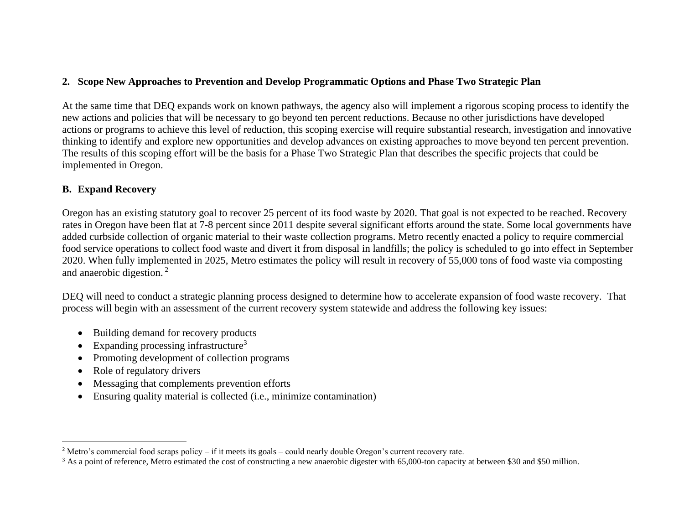# **2. Scope New Approaches to Prevention and Develop Programmatic Options and Phase Two Strategic Plan**

At the same time that DEQ expands work on known pathways, the agency also will implement a rigorous scoping process to identify the new actions and policies that will be necessary to go beyond ten percent reductions. Because no other jurisdictions have developed actions or programs to achieve this level of reduction, this scoping exercise will require substantial research, investigation and innovative thinking to identify and explore new opportunities and develop advances on existing approaches to move beyond ten percent prevention. The results of this scoping effort will be the basis for a Phase Two Strategic Plan that describes the specific projects that could be implemented in Oregon.

# **B. Expand Recovery**

Oregon has an existing statutory goal to recover 25 percent of its food waste by 2020. That goal is not expected to be reached. Recovery rates in Oregon have been flat at 7-8 percent since 2011 despite several significant efforts around the state. Some local governments have added curbside collection of organic material to their waste collection programs. Metro recently enacted a policy to require commercial food service operations to collect food waste and divert it from disposal in landfills; the policy is scheduled to go into effect in September 2020. When fully implemented in 2025, Metro estimates the policy will result in recovery of 55,000 tons of food waste via composting and anaerobic digestion. <sup>2</sup>

DEQ will need to conduct a strategic planning process designed to determine how to accelerate expansion of food waste recovery. That process will begin with an assessment of the current recovery system statewide and address the following key issues:

- Building demand for recovery products
- Expanding processing infrastructure<sup>3</sup>
- Promoting development of collection programs
- Role of regulatory drivers
- Messaging that complements prevention efforts
- Ensuring quality material is collected (i.e., minimize contamination)

<sup>&</sup>lt;sup>2</sup> Metro's commercial food scraps policy – if it meets its goals – could nearly double Oregon's current recovery rate.

<sup>&</sup>lt;sup>3</sup> As a point of reference, Metro estimated the cost of constructing a new anaerobic digester with 65,000-ton capacity at between \$30 and \$50 million.